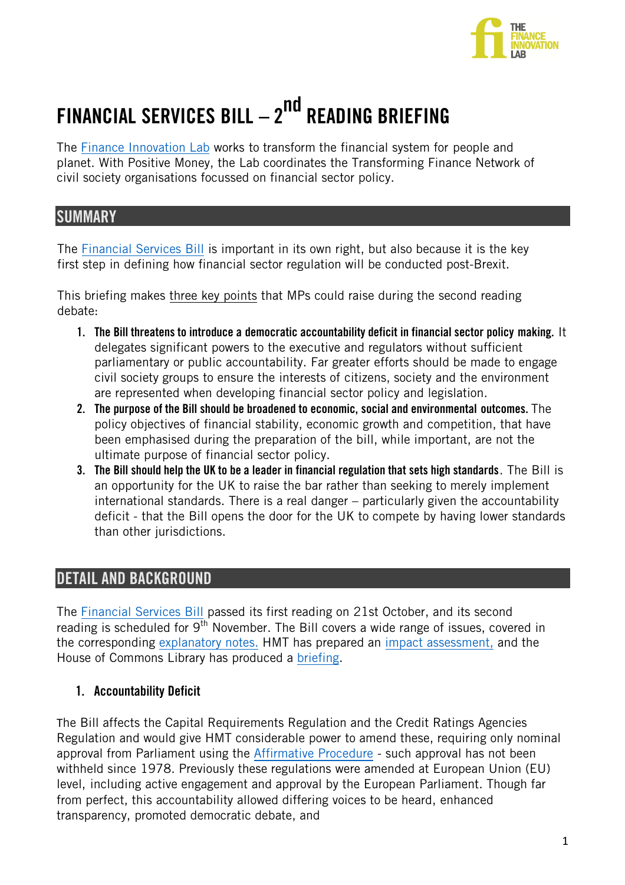

# **FINANCIAL SERVICES BILL – 2 nd READING BRIEFING**

The [Finance Innovation Lab](https://financeinnovationlab.org/about-us/why/) works to transform the financial system for people and planet. With Positive Money, the Lab coordinates the Transforming Finance Network of civil society organisations focussed on financial sector policy.

## **SUMMARY**

Th[e Financial Services B](https://services.parliament.uk/bills/2019-21/financialservices.html)ill is important in its own right, but also because it is the key first step in defining how financial sector regulation will be conducted post-Brexit.

This briefing makes three key points that MPs could raise during the second reading debate:

- 1. The Bill threatens to introduce a democratic accountability deficit in financial sector policy making. It delegates significant powers to the executive and regulators without sufficient parliamentary or public accountability. Far greater efforts should be made to engage civil society groups to ensure the interests of citizens, society and the environment are represented when developing financial sector policy and legislation.
- 2. The purpose of the Bill should be broadened to economic, social and environmental outcomes. The policy objectives of financial stability, economic growth and competition, that have been emphasised during the preparation of the bill, while important, are not the ultimate purpose of financial sector policy.
- 3. The Bill should help the UK to be a leader in financial regulation that sets high standards. The Bill is an opportunity for the UK to raise the bar rather than seeking to merely implement international standards. There is a real danger – particularly given the accountability deficit - that the Bill opens the door for the UK to compete by having lower standards than other jurisdictions.

# DETAIL AND BACKGROUND

The [Financial Services B](https://services.parliament.uk/bills/2019-21/financialservices.html)ill passed its first reading on 21st October, and its second reading is scheduled for  $9<sup>th</sup>$  November. The Bill covers a wide range of issues, covered in [the corresponding](https://publications.parliament.uk/pa/bills/cbill/58-01/0200/en/200200en.pdf) explanatory notes. HMT has prepared an [impact assessment,](https://publications.parliament.uk/pa/bills/cbill/58-01/0200/FS%20Bill%20Impact%20Assessment%20-%20October%202020%20-%20201020.pdf) and the House of Commons Library has produced [a briefing.](https://commonslibrary.parliament.uk/research-briefings/cbp-8705/)

## 1. Accountability Deficit

The Bill affects the Capital Requirements Regulation and the Credit Ratings Agencies Regulation and would give HMT considerable power to amend these, requiring only nominal approval from Parliament using th[e Affirmative Procedure](https://guidetoprocedure.parliament.uk/collections/9CcpWjdj/affirmative-procedure) - such approval has not been withheld since 1978. Previously these regulations were amended at European Union (EU) level, including active engagement and approval by the European Parliament. Though far from perfect, this accountability allowed differing voices to be heard, enhanced transparency, promoted democratic debate, and